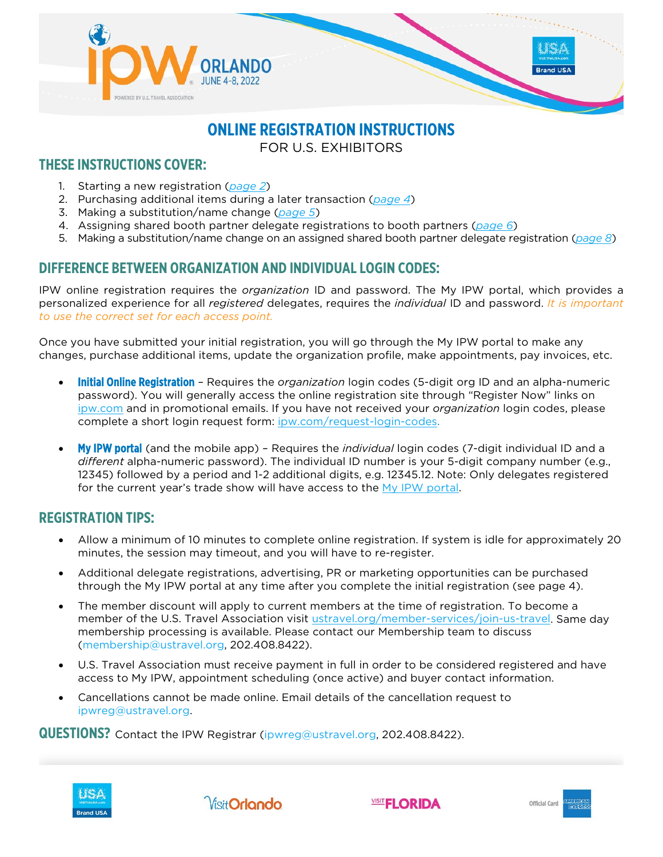

# **ONLINE REGISTRATION INSTRUCTIONS**

FOR U.S. EXHIBITORS

# **THESE INSTRUCTIONS COVER:**

- 1. Starting a new registration (*[page 2](#page-1-0)*)
- 2. Purchasing additional items during a later transaction (*[page 4](#page-3-0)*)
- 3. Making a substitution/name change (*[page 5](#page-4-0)*)
- 4. Assigning shared booth partner delegate registrations to booth partners (*[page 6](#page-5-0)*)
- 5. Making a substitution/name change on an assigned shared booth partner delegate registration (*[page 8](#page-6-0)*)

# **DIFFERENCE BETWEEN ORGANIZATION AND INDIVIDUAL LOGIN CODES:**

IPW online registration requires the *organization* ID and password. The My IPW portal, which provides a personalized experience for all *registered* delegates, requires the *individual* ID and password. *It is important to use the correct set for each access point.*

Once you have submitted your initial registration, you will go through the My IPW portal to make any changes, purchase additional items, update the organization profile, make appointments, pay invoices, etc.

- Initial Online Registration Requires the *organization* login codes (5-digit org ID and an alpha-numeric password). You will generally access the online registration site through "Register Now" links on [ipw.com](https://www.ipw.com/) and in promotional emails. If you have not received your *organization* login codes, please complete a short login request form: [ipw.com/request-login-codes.](https://www.ipw.com/request-login-codes)
- My IPW portal (and the mobile app) Requires the *individual* login codes (7-digit individual ID and a *different* alpha-numeric password). The individual ID number is your 5-digit company number (e.g., 12345) followed by a period and 1-2 additional digits, e.g. 12345.12. Note: Only delegates registered for the current year's trade show will have access to the [My IPW portal.](https://tiaa.teameventmanagement.com/myevent/app/#/login)

# **REGISTRATION TIPS:**

- Allow a minimum of 10 minutes to complete online registration. If system is idle for approximately 20 minutes, the session may timeout, and you will have to re-register.
- Additional delegate registrations, advertising, PR or marketing opportunities can be purchased through the My IPW portal at any time after you complete the initial registration (see page 4).
- The member discount will apply to current members at the time of registration. To become a member of the U.S. Travel Association visit [ustravel.org/member-services/join-us-travel.](http://www.ustravel.org/member-services/join-us-travel) Same day membership processing is available. Please contact our Membership team to discuss (membership@ustravel.org, 202.408.8422).
- U.S. Travel Association must receive payment in full in order to be considered registered and have access to My IPW, appointment scheduling (once active) and buyer contact information.
- Cancellations cannot be made online. Email details of the cancellation request to ipwreg@ustravel.org.

**QUESTIONS?** Contact the IPW Registrar (ipwreg@ustravel.org, 202.408.8422).





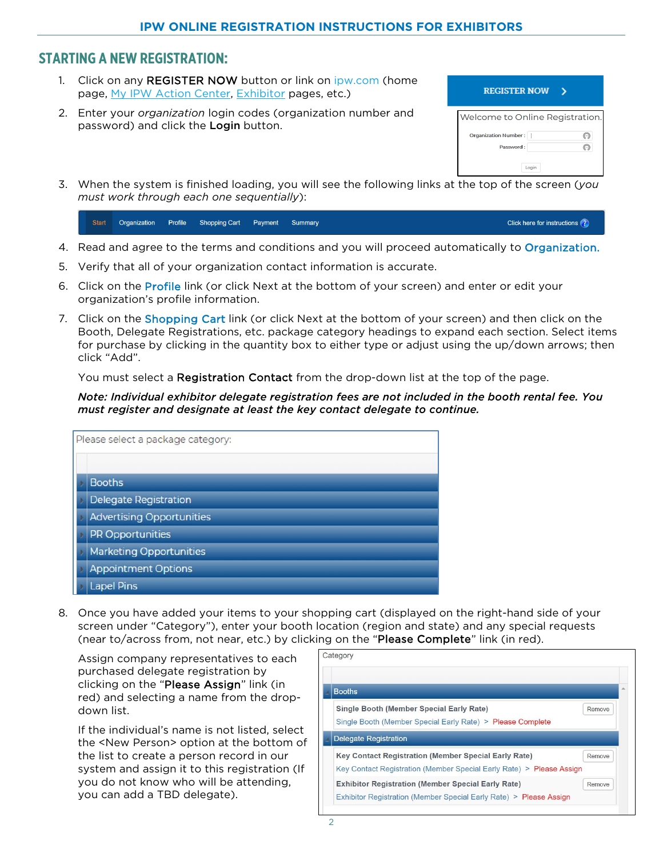### <span id="page-1-0"></span>**STARTING A NEW REGISTRATION:**

- 1. Click on any REGISTER NOW button or link on [ipw.com](http://www.ipw.com/) (home page, [My IPW Action Center,](https://www.ipw.com/ipw-action-center) [Exhibitor](https://www.ipw.com/exhibitors) pages, etc.)
- 2. Enter your *organization* login codes (organization number and password) and click the Login button.

| <b>REGISTER NOW</b>                      |                   |
|------------------------------------------|-------------------|
| Welcome to Online Registration.          |                   |
| <b>Organization Number:</b><br>Password: | (…)<br>$(\cdots)$ |
| Login                                    |                   |

3. When the system is finished loading, you will see the following links at the top of the screen (*you must work through each one sequentially*):

**Start** Organization Profile **Shopping Cart** Payment Summary Click here for instructions ?

- 4. Read and agree to the terms and conditions and you will proceed automatically to Organization.
- 5. Verify that all of your organization contact information is accurate.
- 6. Click on the Profile link (or click Next at the bottom of your screen) and enter or edit your organization's profile information.
- 7. Click on the Shopping Cart link (or click Next at the bottom of your screen) and then click on the Booth, Delegate Registrations, etc. package category headings to expand each section. Select items for purchase by clicking in the quantity box to either type or adjust using the up/down arrows; then click "Add".

You must select a **Registration Contact** from the drop-down list at the top of the page.

*Note: Individual exhibitor delegate registration fees are not included in the booth rental fee. You must register and designate at least the key contact delegate to continue.*

| Please select a package category: |
|-----------------------------------|
|                                   |
| <b>Booths</b>                     |
| <b>Delegate Registration</b>      |
| <b>Advertising Opportunities</b>  |
| <b>PR Opportunities</b>           |
| <b>Marketing Opportunities</b>    |
| <b>Appointment Options</b>        |
| <b>Lapel Pins</b>                 |

8. Once you have added your items to your shopping cart (displayed on the right-hand side of your screen under "Category"), enter your booth location (region and state) and any special requests (near to/across from, not near, etc.) by clicking on the "Please Complete" link (in red).

Assign company representatives to each purchased delegate registration by clicking on the "Please Assign" link (in red) and selecting a name from the dropdown list.

If the individual's name is not listed, select the <New Person> option at the bottom of the list to create a person record in our system and assign it to this registration (If you do not know who will be attending, you can add a TBD delegate).

| Category                                                                                                                                      |
|-----------------------------------------------------------------------------------------------------------------------------------------------|
| <b>Booths</b>                                                                                                                                 |
| <b>Single Booth (Member Special Early Rate)</b><br>Remove<br>Single Booth (Member Special Early Rate) > Please Complete                       |
| <b>Delegate Registration</b>                                                                                                                  |
| <b>Key Contact Registration (Member Special Early Rate)</b><br>Remove<br>Key Contact Registration (Member Special Early Rate) > Please Assign |
| <b>Exhibitor Registration (Member Special Early Rate)</b><br>Remove<br>Exhibitor Registration (Member Special Early Rate) > Please Assign     |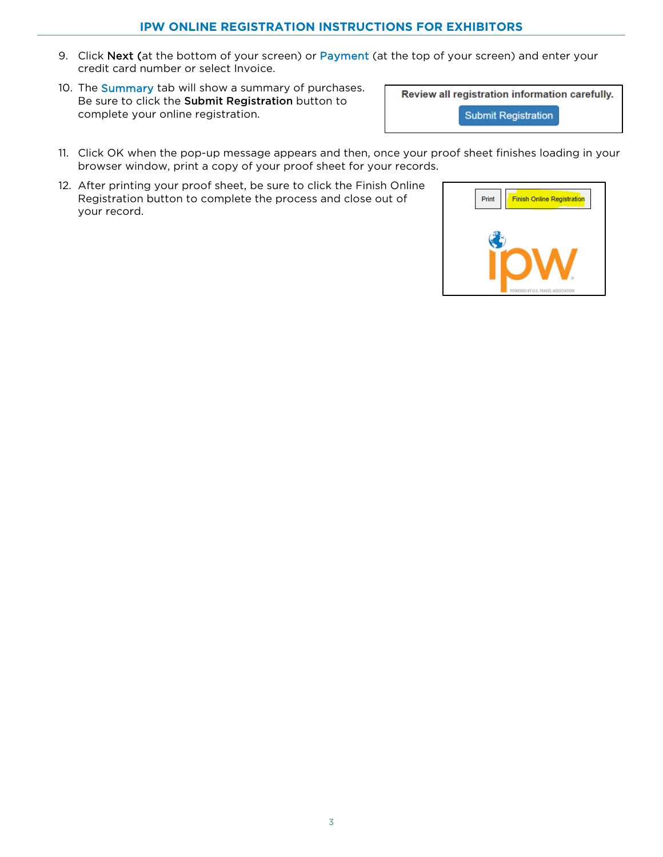#### **IPW ONLINE REGISTRATION INSTRUCTIONS FOR EXHIBITORS**

- 9. Click Next (at the bottom of your screen) or Payment (at the top of your screen) and enter your credit card number or select Invoice.
- 10. The **Summary** tab will show a summary of purchases. Be sure to click the Submit Registration button to complete your online registration.

Review all registration information carefully.

**Submit Registration** 

- 11. Click OK when the pop-up message appears and then, once your proof sheet finishes loading in your browser window, print a copy of your proof sheet for your records.
- 12. After printing your proof sheet, be sure to click the Finish Online Registration button to complete the process and close out of your record.

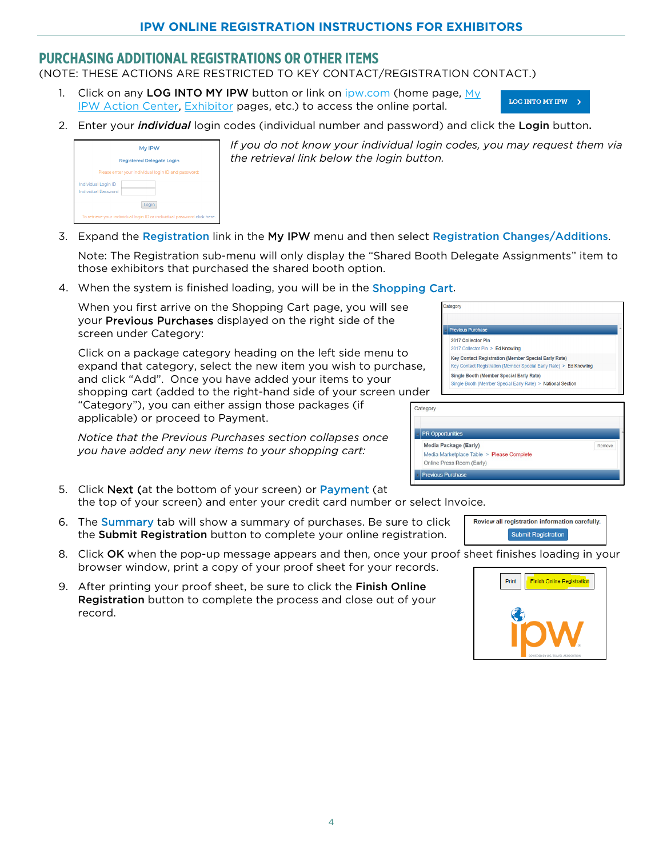### <span id="page-3-0"></span>**PURCHASING ADDITIONAL REGISTRATIONS OR OTHER ITEMS**

(NOTE: THESE ACTIONS ARE RESTRICTED TO KEY CONTACT/REGISTRATION CONTACT.)

- 1. Click on any LOG INTO MY IPW button or link on [ipw.com](http://www.ipw.com/) (home page,  $My$ [IPW Action Center,](https://www.ipw.com/ipw-action-center) [Exhibitor](https://www.ipw.com/exhibitors) pages, etc.) to access the online portal.
- LOG INTO MY IPW >
- 2. Enter your *individual* login codes (individual number and password) and click the Login button.



*If you do not know your individual login codes, you may request them via the retrieval link below the login button.*

Media Package (Early)

Online Press Room (Early) **Previous Purchase** 

Media Marketplace Table > Please Complete

3. Expand the Registration link in the My IPW menu and then select Registration Changes/Additions.

Note: The Registration sub-menu will only display the "Shared Booth Delegate Assignments" item to those exhibitors that purchased the shared booth option.

4. When the system is finished loading, you will be in the Shopping Cart.

When you first arrive on the Shopping Cart page, you will see your Previous Purchases displayed on the right side of the screen under Category:

Click on a package category heading on the left side menu to expand that category, select the new item you wish to purchase, and click "Add". Once you have added your items to your shopping cart (added to the right-hand side of your screen under "Category"), you can either assign those packages (if Category applicable) or proceed to Payment.

*Notice that the Previous Purchases section collapses once you have added any new items to your shopping cart:*

- 5. Click Next (at the bottom of your screen) or Payment (at the top of your screen) and enter your credit card number or select In
- 6. The Summary tab will show a summary of purchases. Be sure to click the Submit Registration button to complete your online registration.
- 8. Click OK when the pop-up message appears and then, once your proof sheet finishes loading in your browser window, print a copy of your proof sheet for your records.
- 9. After printing your proof sheet, be sure to click the Finish Online Registration button to complete the process and close out of your record.



| nvoice. |                                                |  |
|---------|------------------------------------------------|--|
|         | Review all registration information carefully. |  |
|         | <b>Submit Registration</b>                     |  |

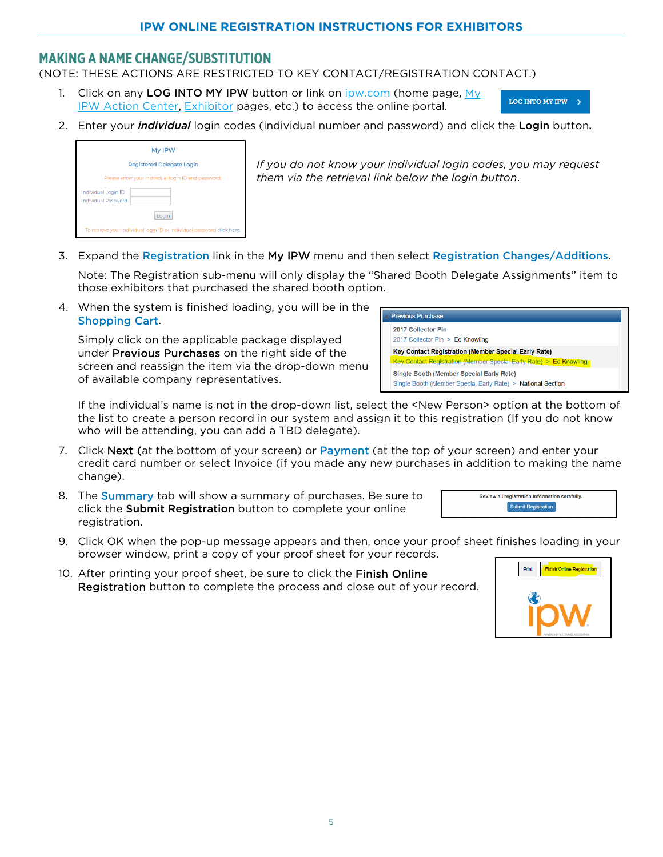### <span id="page-4-0"></span>**MAKING A NAME CHANGE/SUBSTITUTION**

(NOTE: THESE ACTIONS ARE RESTRICTED TO KEY CONTACT/REGISTRATION CONTACT.)

1. Click on any LOG INTO MY IPW button or link on [ipw.com](http://www.ipw.com/) (home page, My [IPW Action Center,](https://www.ipw.com/ipw-action-center) [Exhibitor](https://www.ipw.com/exhibitors) pages, etc.) to access the online portal.



2. Enter your *individual* login codes (individual number and password) and click the Login button.

|                                            | My IPW                                                                  |
|--------------------------------------------|-------------------------------------------------------------------------|
|                                            | <b>Registered Delegate Login</b>                                        |
|                                            | Please enter your individual login ID and password:                     |
| Individual Login ID<br>Individual Password |                                                                         |
|                                            | Login                                                                   |
|                                            | To retrieve your individual login ID or individual password click here. |

*If you do not know your individual login codes, you may request them via the retrieval link below the login button*.

3. Expand the Registration link in the My IPW menu and then select Registration Changes/Additions.

Note: The Registration sub-menu will only display the "Shared Booth Delegate Assignments" item to those exhibitors that purchased the shared booth option.

4. When the system is finished loading, you will be in the Shopping Cart.

Simply click on the applicable package displayed under Previous Purchases on the right side of the screen and reassign the item via the drop-down menu of available company representatives.

| <b>Previous Purchase</b>                                                                                       |  |  |  |
|----------------------------------------------------------------------------------------------------------------|--|--|--|
| 2017 Collector Pin<br>2017 Collector Pin > Ed Knowling                                                         |  |  |  |
| Key Contact Registration (Member Special Early Rate)                                                           |  |  |  |
| Key Contact Registration (Member Special Early Rate) > Ed Knowling                                             |  |  |  |
| <b>Single Booth (Member Special Early Rate)</b><br>Single Booth (Member Special Early Rate) > National Section |  |  |  |

If the individual's name is not in the drop-down list, select the <New Person> option at the bottom of the list to create a person record in our system and assign it to this registration (If you do not know who will be attending, you can add a TBD delegate).

- 7. Click Next (at the bottom of your screen) or Payment (at the top of your screen) and enter your credit card number or select Invoice (if you made any new purchases in addition to making the name change).
- 8. The Summary tab will show a summary of purchases. Be sure to click the Submit Registration button to complete your online registration.
- 9. Click OK when the pop-up message appears and then, once your proof sheet finishes loading in your browser window, print a copy of your proof sheet for your records.
- 10. After printing your proof sheet, be sure to click the Finish Online Registration button to complete the process and close out of your record.



Review all registration information carefully. **Submit Registration**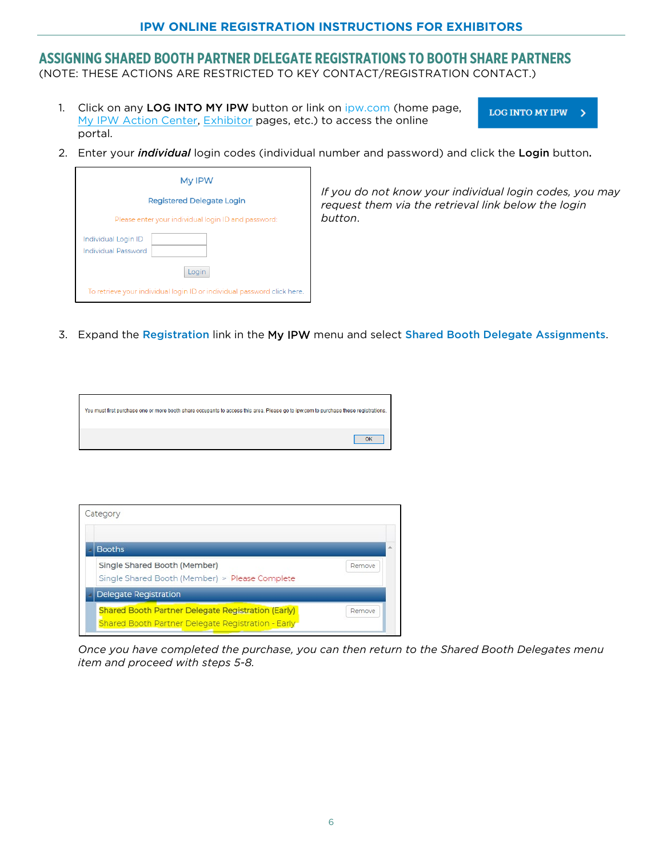#### **IPW ONLINE REGISTRATION INSTRUCTIONS FOR EXHIBITORS**

#### <span id="page-5-0"></span>**ASSIGNING SHARED BOOTH PARTNER DELEGATE REGISTRATIONS TO BOOTH SHARE PARTNERS**

(NOTE: THESE ACTIONS ARE RESTRICTED TO KEY CONTACT/REGISTRATION CONTACT.)

1. Click on any LOG INTO MY IPW button or link on [ipw.com](http://www.ipw.com/) (home page, [My IPW Action Center,](https://www.ipw.com/ipw-action-center) [Exhibitor](https://www.ipw.com/exhibitors) pages, etc.) to access the online portal.

**LOG INTO MY IPW**  $\rightarrow$ 

2. Enter your *individual* login codes (individual number and password) and click the Login button.



*If you do not know your individual login codes, you may request them via the retrieval link below the login button*.

3. Expand the Registration link in the My IPW menu and select Shared Booth Delegate Assignments.

| You must first purchase one or more booth share occupants to access this area. Please go to ipw.com to purchase these registrations. |  |
|--------------------------------------------------------------------------------------------------------------------------------------|--|
|                                                                                                                                      |  |

| <b>Booths</b>                                                                                                          |        |
|------------------------------------------------------------------------------------------------------------------------|--------|
| Single Shared Booth (Member)<br>Single Shared Booth (Member) > Please Complete                                         | Remove |
| <b>Delegate Registration</b>                                                                                           |        |
| <b>Shared Booth Partner Delegate Registration (Early)</b><br><b>Shared Booth Partner Delegate Registration - Early</b> | Remove |

*Once you have completed the purchase, you can then return to the Shared Booth Delegates menu item and proceed with steps 5-8.*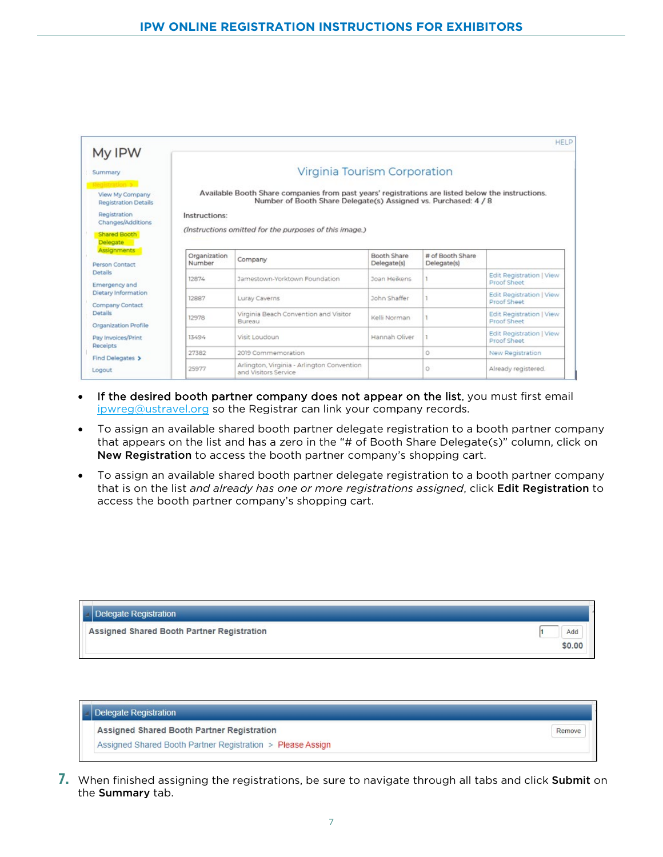|                                                |                        |                                                                                                                                                                      |                            |                                 | <b>HELP</b>                                    |
|------------------------------------------------|------------------------|----------------------------------------------------------------------------------------------------------------------------------------------------------------------|----------------------------|---------------------------------|------------------------------------------------|
| My IPW<br>Summary                              |                        | Virginia Tourism Corporation                                                                                                                                         |                            |                                 |                                                |
| View My Company<br><b>Registration Details</b> |                        | Available Booth Share companies from past years' registrations are listed below the instructions.<br>Number of Booth Share Delegate(s) Assigned vs. Purchased: 4 / 8 |                            |                                 |                                                |
| Registration<br>Changes/Additions              | Instructions:          |                                                                                                                                                                      |                            |                                 |                                                |
| Shared Booth<br>Delegate                       |                        | (Instructions omitted for the purposes of this image.)                                                                                                               |                            |                                 |                                                |
| Assignments<br><b>Person Contact</b>           | Organization<br>Number | Company                                                                                                                                                              | Booth Share<br>Delegate(s) | # of Booth Share<br>Delegate(s) |                                                |
| <b>Details</b><br>Emergency and                | 12874                  | Jamestown-Yorktown Foundation                                                                                                                                        | Joan Heikens               |                                 | <b>Edit Registration   View</b><br>Proof Sheet |
| Dietary Information<br>Company Contact         | 12887                  | Luray Caverns                                                                                                                                                        | John Shaffer               |                                 | <b>Edit Registration   View</b><br>Proof Sheet |
| Details<br>Organization Profile                | 12978                  | Virginia Beach Convention and Visitor<br>Bureau                                                                                                                      | Kelli Norman               |                                 | <b>Edit Registration   View</b><br>Proof Sheet |
| Pay Invoices/Print                             | 13494                  | Visit Loudoun                                                                                                                                                        | Hannah Oliver              |                                 | <b>Edit Registration   View</b><br>Proof Sheet |
| Receipts                                       | 27382                  | 2019 Commemoration                                                                                                                                                   |                            | 0                               | New Registration                               |
| Find Delegates ><br>Logout                     | 25977                  | Arlington, Virginia - Arlington Convention<br>and Visitors Service                                                                                                   |                            | 0                               | Already registered.                            |

- If the desired booth partner company does not appear on the list, you must first email [ipwreg@ustravel.org](mailto:ipwreg@ustravel.org) so the Registrar can link your company records.
- To assign an available shared booth partner delegate registration to a booth partner company that appears on the list and has a zero in the "# of Booth Share Delegate(s)" column, click on New Registration to access the booth partner company's shopping cart.
- To assign an available shared booth partner delegate registration to a booth partner company that is on the list *and already has one or more registrations assigned*, click Edit Registration to access the booth partner company's shopping cart.

| Delegate Registration                      |        |
|--------------------------------------------|--------|
| Assigned Shared Booth Partner Registration | Add    |
|                                            | \$0.00 |

| Assigned Shared Booth Partner Registration | Remove |
|--------------------------------------------|--------|

<span id="page-6-0"></span>**7.** When finished assigning the registrations, be sure to navigate through all tabs and click Submit on the Summary tab.